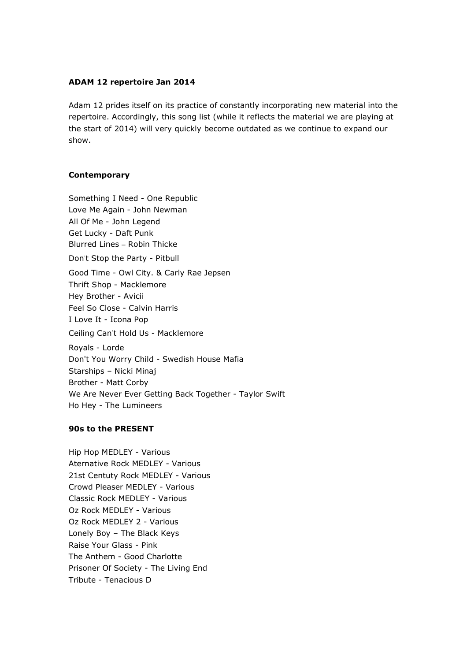# ADAM 12 repertoire Jan 2014

Adam 12 prides itself on its practice of constantly incorporating new material into the repertoire. Accordingly, this song list (while it reflects the material we are playing at the start of 2014) will very quickly become outdated as we continue to expand our show.

## **Contemporary**

Something I Need - One Republic Love Me Again - John Newman All Of Me - John Legend Get Lucky - Daft Punk Blurred Lines – Robin Thicke Don't Stop the Party - Pitbull Good Time - Owl City. & Carly Rae Jepsen Thrift Shop - Macklemore Hey Brother - Avicii Feel So Close - Calvin Harris I Love It - Icona Pop Ceiling Can't Hold Us - Macklemore Royals - Lorde Don't You Worry Child - Swedish House Mafia Starships – Nicki Minaj Brother - Matt Corby We Are Never Ever Getting Back Together - Taylor Swift Ho Hey - The Lumineers

## 90s to the PRESENT

Hip Hop MEDLEY - Various Aternative Rock MEDLEY - Various 21st Centuty Rock MEDLEY - Various Crowd Pleaser MEDLEY - Various Classic Rock MEDLEY - Various Oz Rock MEDLEY - Various Oz Rock MEDLEY 2 - Various Lonely Boy – The Black Keys Raise Your Glass - Pink The Anthem - Good Charlotte Prisoner Of Society - The Living End Tribute - Tenacious D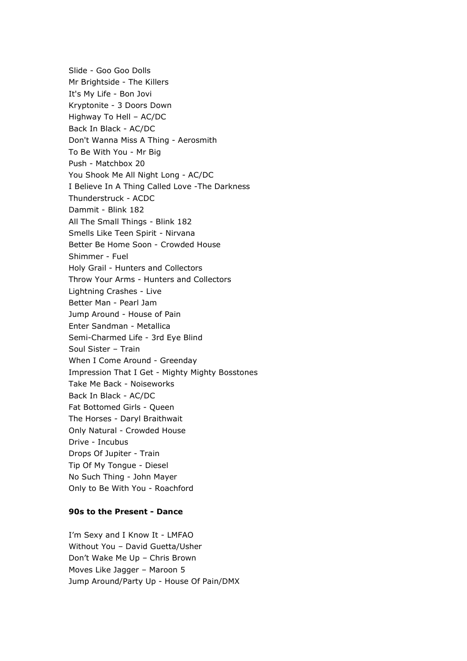Slide - Goo Goo Dolls Mr Brightside - The Killers It's My Life - Bon Jovi Kryptonite - 3 Doors Down Highway To Hell – AC/DC Back In Black - AC/DC Don't Wanna Miss A Thing - Aerosmith To Be With You - Mr Big Push - Matchbox 20 You Shook Me All Night Long - AC/DC I Believe In A Thing Called Love -The Darkness Thunderstruck - ACDC Dammit - Blink 182 All The Small Things - Blink 182 Smells Like Teen Spirit - Nirvana Better Be Home Soon - Crowded House Shimmer - Fuel Holy Grail - Hunters and Collectors Throw Your Arms - Hunters and Collectors Lightning Crashes - Live Better Man - Pearl Jam Jump Around - House of Pain Enter Sandman - Metallica Semi-Charmed Life - 3rd Eye Blind Soul Sister – Train When I Come Around - Greenday Impression That I Get - Mighty Mighty Bosstones Take Me Back - Noiseworks Back In Black - AC/DC Fat Bottomed Girls - Queen The Horses - Daryl Braithwait Only Natural - Crowded House Drive - Incubus Drops Of Jupiter - Train Tip Of My Tongue - Diesel No Such Thing - John Mayer Only to Be With You - Roachford

# 90s to the Present - Dance

I'm Sexy and I Know It - LMFAO Without You – David Guetta/Usher Don't Wake Me Up – Chris Brown Moves Like Jagger – Maroon 5 Jump Around/Party Up - House Of Pain/DMX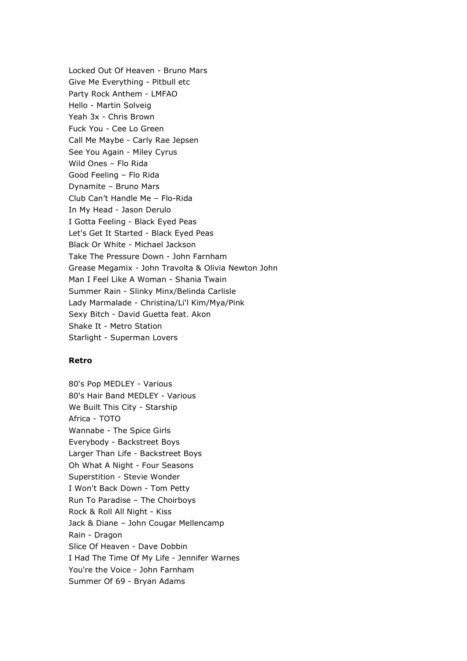Locked Out Of Heaven - Bruno Mars Give Me Everything - Pitbull etc Party Rock Anthem - LMFAO Hello - Martin Solveig Yeah 3x - Chris Brown Fuck You - Cee Lo Green Call Me Maybe - Carly Rae Jepsen See You Again - Miley Cyrus Wild Ones – Flo Rida Good Feeling – Flo Rida Dynamite – Bruno Mars Club Can't Handle Me – Flo-Rida In My Head - Jason Derulo I Gotta Feeling - Black Eyed Peas Let's Get It Started - Black Eyed Peas Black Or White - Michael Jackson Take The Pressure Down - John Farnham Grease Megamix - John Travolta & Olivia Newton John Man I Feel Like A Woman - Shania Twain Summer Rain - Slinky Minx/Belinda Carlisle Lady Marmalade - Christina/Li'l Kim/Mya/Pink Sexy Bitch - David Guetta feat. Akon Shake It - Metro Station Starlight - Superman Lovers

### Retro

80's Pop MEDLEY - Various 80's Hair Band MEDLEY - Various We Built This City - Starship Africa - TOTO Wannabe - The Spice Girls Everybody - Backstreet Boys Larger Than Life - Backstreet Boys Oh What A Night - Four Seasons Superstition - Stevie Wonder I Won't Back Down - Tom Petty Run To Paradise – The Choirboys Rock & Roll All Night - Kiss Jack & Diane – John Cougar Mellencamp Rain - Dragon Slice Of Heaven - Dave Dobbin I Had The Time Of My Life - Jennifer Warnes You're the Voice - John Farnham Summer Of 69 - Bryan Adams